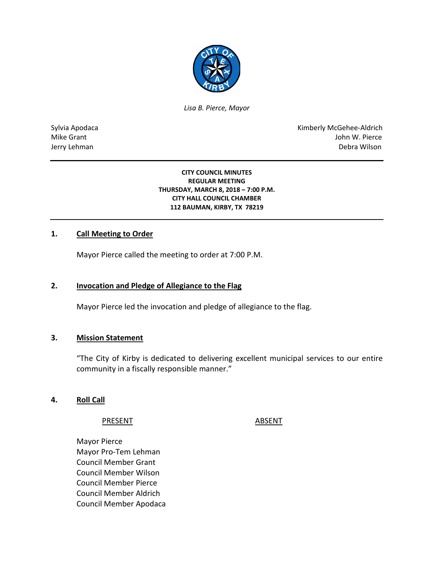

*Lisa B. Pierce, Mayor* 

Sylvia Apodaca National Apodaca Kimberly McGehee-Aldrich Mike Grant John W. Pierce Jerry Lehman Debra Wilson

#### **CITY COUNCIL MINUTES REGULAR MEETING THURSDAY, MARCH 8, 2018 – 7:00 P.M. CITY HALL COUNCIL CHAMBER 112 BAUMAN, KIRBY, TX 78219**

### **1. Call Meeting to Order**

Mayor Pierce called the meeting to order at 7:00 P.M.

### **2. Invocation and Pledge of Allegiance to the Flag**

Mayor Pierce led the invocation and pledge of allegiance to the flag.

#### **3. Mission Statement**

"The City of Kirby is dedicated to delivering excellent municipal services to our entire community in a fiscally responsible manner."

#### **4. Roll Call**

PRESENT ABSENT

Mayor Pierce Mayor Pro-Tem Lehman Council Member Grant Council Member Wilson Council Member Pierce Council Member Aldrich Council Member Apodaca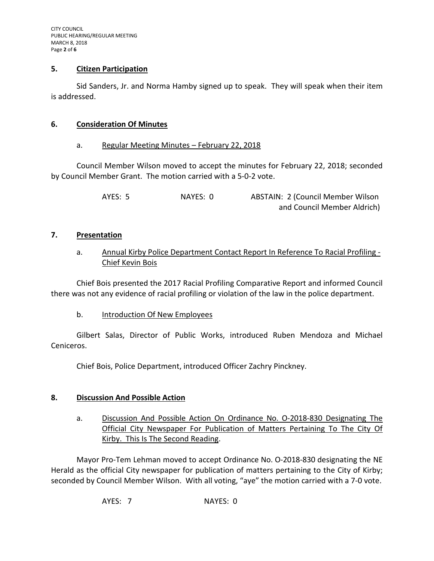### **5. Citizen Participation**

Sid Sanders, Jr. and Norma Hamby signed up to speak. They will speak when their item is addressed.

#### **6. Consideration Of Minutes**

#### a. Regular Meeting Minutes – February 22, 2018

Council Member Wilson moved to accept the minutes for February 22, 2018; seconded by Council Member Grant. The motion carried with a 5-0-2 vote.

> AYES: 5 NAYES: 0 ABSTAIN: 2 (Council Member Wilson and Council Member Aldrich)

#### **7. Presentation**

a. Annual Kirby Police Department Contact Report In Reference To Racial Profiling - Chief Kevin Bois

Chief Bois presented the 2017 Racial Profiling Comparative Report and informed Council there was not any evidence of racial profiling or violation of the law in the police department.

b. Introduction Of New Employees

Gilbert Salas, Director of Public Works, introduced Ruben Mendoza and Michael Ceniceros.

Chief Bois, Police Department, introduced Officer Zachry Pinckney.

### **8. Discussion And Possible Action**

a. Discussion And Possible Action On Ordinance No. O-2018-830 Designating The Official City Newspaper For Publication of Matters Pertaining To The City Of Kirby. This Is The Second Reading.

Mayor Pro-Tem Lehman moved to accept Ordinance No. O-2018-830 designating the NE Herald as the official City newspaper for publication of matters pertaining to the City of Kirby; seconded by Council Member Wilson. With all voting, "aye" the motion carried with a 7-0 vote.

AYES: 7 NAYES: 0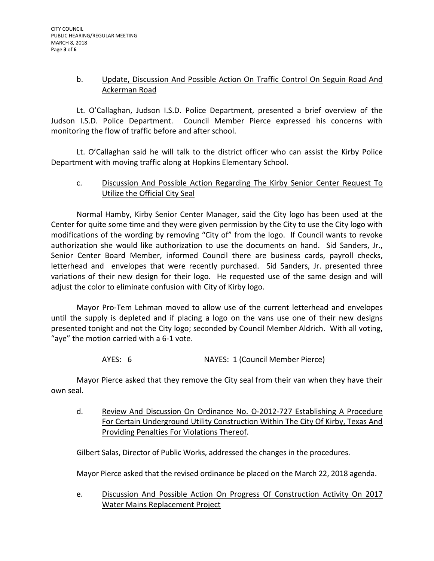## b. Update, Discussion And Possible Action On Traffic Control On Seguin Road And Ackerman Road

Lt. O'Callaghan, Judson I.S.D. Police Department, presented a brief overview of the Judson I.S.D. Police Department. Council Member Pierce expressed his concerns with monitoring the flow of traffic before and after school.

Lt. O'Callaghan said he will talk to the district officer who can assist the Kirby Police Department with moving traffic along at Hopkins Elementary School.

## c. Discussion And Possible Action Regarding The Kirby Senior Center Request To Utilize the Official City Seal

Normal Hamby, Kirby Senior Center Manager, said the City logo has been used at the Center for quite some time and they were given permission by the City to use the City logo with modifications of the wording by removing "City of" from the logo. If Council wants to revoke authorization she would like authorization to use the documents on hand. Sid Sanders, Jr., Senior Center Board Member, informed Council there are business cards, payroll checks, letterhead and envelopes that were recently purchased. Sid Sanders, Jr. presented three variations of their new design for their logo. He requested use of the same design and will adjust the color to eliminate confusion with City of Kirby logo.

Mayor Pro-Tem Lehman moved to allow use of the current letterhead and envelopes until the supply is depleted and if placing a logo on the vans use one of their new designs presented tonight and not the City logo; seconded by Council Member Aldrich. With all voting, "aye" the motion carried with a 6-1 vote.

AYES: 6 NAYES: 1 (Council Member Pierce)

Mayor Pierce asked that they remove the City seal from their van when they have their own seal.

d. Review And Discussion On Ordinance No. O-2012-727 Establishing A Procedure For Certain Underground Utility Construction Within The City Of Kirby, Texas And Providing Penalties For Violations Thereof.

Gilbert Salas, Director of Public Works, addressed the changes in the procedures.

Mayor Pierce asked that the revised ordinance be placed on the March 22, 2018 agenda.

e. Discussion And Possible Action On Progress Of Construction Activity On 2017 Water Mains Replacement Project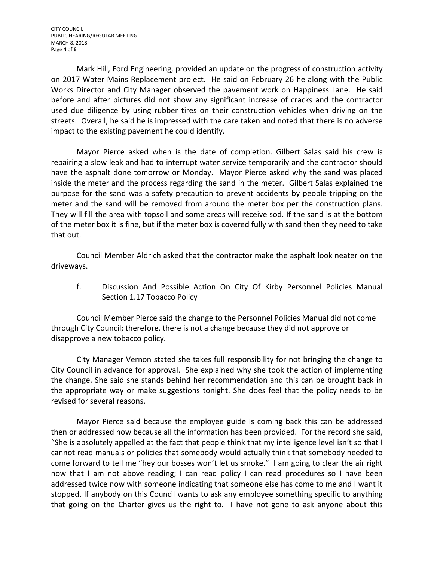Mark Hill, Ford Engineering, provided an update on the progress of construction activity on 2017 Water Mains Replacement project. He said on February 26 he along with the Public Works Director and City Manager observed the pavement work on Happiness Lane. He said before and after pictures did not show any significant increase of cracks and the contractor used due diligence by using rubber tires on their construction vehicles when driving on the streets. Overall, he said he is impressed with the care taken and noted that there is no adverse impact to the existing pavement he could identify.

Mayor Pierce asked when is the date of completion. Gilbert Salas said his crew is repairing a slow leak and had to interrupt water service temporarily and the contractor should have the asphalt done tomorrow or Monday. Mayor Pierce asked why the sand was placed inside the meter and the process regarding the sand in the meter. Gilbert Salas explained the purpose for the sand was a safety precaution to prevent accidents by people tripping on the meter and the sand will be removed from around the meter box per the construction plans. They will fill the area with topsoil and some areas will receive sod. If the sand is at the bottom of the meter box it is fine, but if the meter box is covered fully with sand then they need to take that out.

Council Member Aldrich asked that the contractor make the asphalt look neater on the driveways.

# f. Discussion And Possible Action On City Of Kirby Personnel Policies Manual Section 1.17 Tobacco Policy

Council Member Pierce said the change to the Personnel Policies Manual did not come through City Council; therefore, there is not a change because they did not approve or disapprove a new tobacco policy.

City Manager Vernon stated she takes full responsibility for not bringing the change to City Council in advance for approval. She explained why she took the action of implementing the change. She said she stands behind her recommendation and this can be brought back in the appropriate way or make suggestions tonight. She does feel that the policy needs to be revised for several reasons.

Mayor Pierce said because the employee guide is coming back this can be addressed then or addressed now because all the information has been provided. For the record she said, "She is absolutely appalled at the fact that people think that my intelligence level isn't so that I cannot read manuals or policies that somebody would actually think that somebody needed to come forward to tell me "hey our bosses won't let us smoke." I am going to clear the air right now that I am not above reading; I can read policy I can read procedures so I have been addressed twice now with someone indicating that someone else has come to me and I want it stopped. If anybody on this Council wants to ask any employee something specific to anything that going on the Charter gives us the right to. I have not gone to ask anyone about this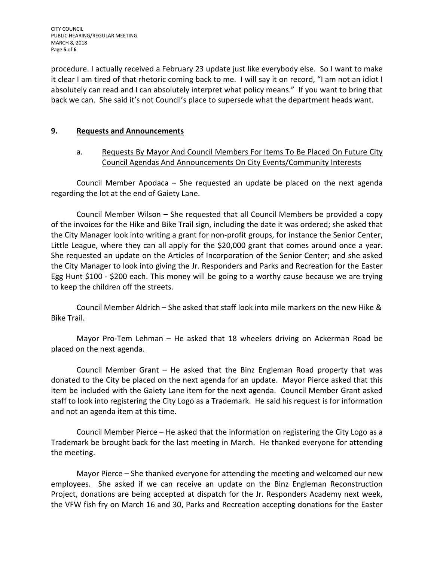CITY COUNCIL PUBLIC HEARING/REGULAR MEETING MARCH 8, 2018 Page **5** of **6**

procedure. I actually received a February 23 update just like everybody else. So I want to make it clear I am tired of that rhetoric coming back to me. I will say it on record, "I am not an idiot I absolutely can read and I can absolutely interpret what policy means." If you want to bring that back we can. She said it's not Council's place to supersede what the department heads want.

## **9. Requests and Announcements**

# a. Requests By Mayor And Council Members For Items To Be Placed On Future City Council Agendas And Announcements On City Events/Community Interests

Council Member Apodaca – She requested an update be placed on the next agenda regarding the lot at the end of Gaiety Lane.

Council Member Wilson – She requested that all Council Members be provided a copy of the invoices for the Hike and Bike Trail sign, including the date it was ordered; she asked that the City Manager look into writing a grant for non-profit groups, for instance the Senior Center, Little League, where they can all apply for the \$20,000 grant that comes around once a year. She requested an update on the Articles of Incorporation of the Senior Center; and she asked the City Manager to look into giving the Jr. Responders and Parks and Recreation for the Easter Egg Hunt \$100 - \$200 each. This money will be going to a worthy cause because we are trying to keep the children off the streets.

Council Member Aldrich – She asked that staff look into mile markers on the new Hike & Bike Trail.

Mayor Pro-Tem Lehman – He asked that 18 wheelers driving on Ackerman Road be placed on the next agenda.

Council Member Grant – He asked that the Binz Engleman Road property that was donated to the City be placed on the next agenda for an update. Mayor Pierce asked that this item be included with the Gaiety Lane item for the next agenda. Council Member Grant asked staff to look into registering the City Logo as a Trademark. He said his request is for information and not an agenda item at this time.

Council Member Pierce – He asked that the information on registering the City Logo as a Trademark be brought back for the last meeting in March. He thanked everyone for attending the meeting.

Mayor Pierce – She thanked everyone for attending the meeting and welcomed our new employees. She asked if we can receive an update on the Binz Engleman Reconstruction Project, donations are being accepted at dispatch for the Jr. Responders Academy next week, the VFW fish fry on March 16 and 30, Parks and Recreation accepting donations for the Easter